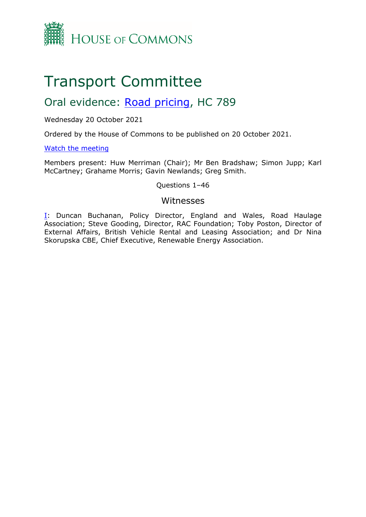

# Transport Committee

## Oral evidence: [Road](https://committees.parliament.uk/work/1549/road-pricing/) [pricing,](https://committees.parliament.uk/work/1549/road-pricing/) HC 789

## Wednesday 20 October 2021

Ordered by the House of Commons to be published on 20 October 2021.

## [Watch](https://parliamentlive.tv/event/index/86868b5f-effe-40d5-9ac7-2d74a7237fe0?in=09:30:27) [the](https://parliamentlive.tv/event/index/86868b5f-effe-40d5-9ac7-2d74a7237fe0?in=09:30:27) [meeting](https://parliamentlive.tv/event/index/86868b5f-effe-40d5-9ac7-2d74a7237fe0?in=09:30:27)

Members present: Huw Merriman (Chair); Mr Ben Bradshaw; Simon Jupp; Karl McCartney; Grahame Morris; Gavin Newlands; Greg Smith.

## Questions 1–46

## Witnesses

**[I:](#page-1-0)** Duncan Buchanan, Policy Director, England and Wales, Road Haulage Association; Steve Gooding, Director, RAC Foundation; Toby Poston, Director of External Affairs, British Vehicle Rental and Leasing Association; and Dr Nina Skorupska CBE, Chief Executive, Renewable Energy Association.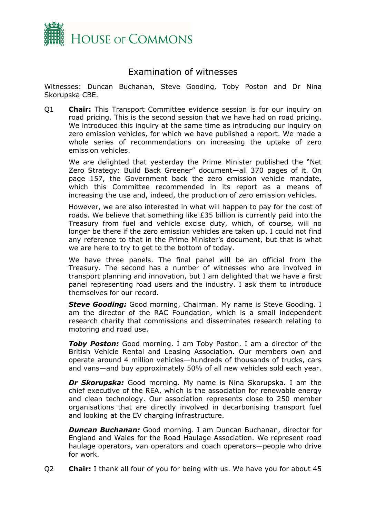

## <span id="page-1-0"></span>Examination of witnesses

Witnesses: Duncan Buchanan, Steve Gooding, Toby Poston and Dr Nina Skorupska CBE.

Q1 **Chair:** This Transport Committee evidence session is for our inquiry on road pricing. This is the second session that we have had on road pricing. We introduced this inquiry at the same time as introducing our inquiry on zero emission vehicles, for which we have published a report. We made a whole series of recommendations on increasing the uptake of zero emission vehicles.

We are delighted that yesterday the Prime Minister published the "Net Zero Strategy: Build Back Greener" document—all 370 pages of it. On page 157, the Government back the zero emission vehicle mandate, which this Committee recommended in its report as a means of increasing the use and, indeed, the production of zero emission vehicles.

However, we are also interested in what will happen to pay for the cost of roads. We believe that something like £35 billion is currently paid into the Treasury from fuel and vehicle excise duty, which, of course, will no longer be there if the zero emission vehicles are taken up. I could not find any reference to that in the Prime Minister's document, but that is what we are here to try to get to the bottom of today.

We have three panels. The final panel will be an official from the Treasury. The second has a number of witnesses who are involved in transport planning and innovation, but I am delighted that we have a first panel representing road users and the industry. I ask them to introduce themselves for our record.

*Steve Gooding:* Good morning, Chairman. My name is Steve Gooding. I am the director of the RAC Foundation, which is a small independent research charity that commissions and disseminates research relating to motoring and road use.

**Toby Poston:** Good morning. I am Toby Poston. I am a director of the British Vehicle Rental and Leasing Association. Our members own and operate around 4 million vehicles—hundreds of thousands of trucks, cars and vans—and buy approximately 50% of all new vehicles sold each year.

*Dr Skorupska:* Good morning. My name is Nina Skorupska. I am the chief executive of the REA, which is the association for renewable energy and clean technology. Our association represents close to 250 member organisations that are directly involved in decarbonising transport fuel and looking at the EV charging infrastructure.

*Duncan Buchanan:* Good morning. I am Duncan Buchanan, director for England and Wales for the Road Haulage Association. We represent road haulage operators, van operators and coach operators—people who drive for work.

Q2 **Chair:** I thank all four of you for being with us. We have you for about 45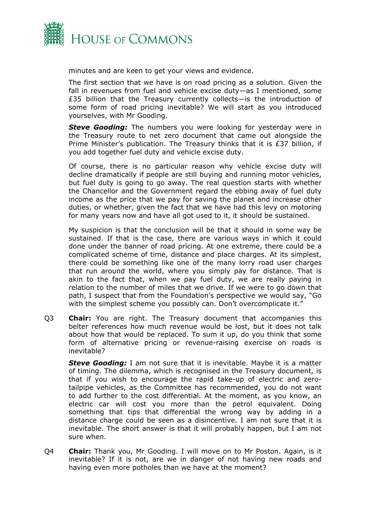

minutes and are keen to get your views and evidence.

The first section that we have is on road pricing as a solution. Given the fall in revenues from fuel and vehicle excise duty—as I mentioned, some £35 billion that the Treasury currently collects—is the introduction of some form of road pricing inevitable? We will start as you introduced yourselves, with Mr Gooding.

**Steve Gooding:** The numbers you were looking for yesterday were in the Treasury route to net zero document that came out alongside the Prime Minister's publication. The Treasury thinks that it is £37 billion, if you add together fuel duty and vehicle excise duty.

Of course, there is no particular reason why vehicle excise duty will decline dramatically if people are still buying and running motor vehicles, but fuel duty is going to go away. The real question starts with whether the Chancellor and the Government regard the ebbing away of fuel duty income as the price that we pay for saving the planet and increase other duties, or whether, given the fact that we have had this levy on motoring for many years now and have all got used to it, it should be sustained.

My suspicion is that the conclusion will be that it should in some way be sustained. If that is the case, there are various ways in which it could done under the banner of road pricing. At one extreme, there could be a complicated scheme of time, distance and place charges. At its simplest, there could be something like one of the many lorry road user charges that run around the world, where you simply pay for distance. That is akin to the fact that, when we pay fuel duty, we are really paying in relation to the number of miles that we drive. If we were to go down that path, I suspect that from the Foundation's perspective we would say, "Go with the simplest scheme you possibly can. Don't overcomplicate it."

Q3 **Chair:** You are right. The Treasury document that accompanies this belter references how much revenue would be lost, but it does not talk about how that would be replaced. To sum it up, do you think that some form of alternative pricing or revenue-raising exercise on roads is inevitable?

*Steve Gooding:* I am not sure that it is inevitable. Maybe it is a matter of timing. The dilemma, which is recognised in the Treasury document, is that if you wish to encourage the rapid take-up of electric and zerotailpipe vehicles, as the Committee has recommended, you do not want to add further to the cost differential. At the moment, as you know, an electric car will cost you more than the petrol equivalent. Doing something that tips that differential the wrong way by adding in a distance charge could be seen as a disincentive. I am not sure that it is inevitable. The short answer is that it will probably happen, but I am not sure when.

Q4 **Chair:** Thank you, Mr Gooding. I will move on to Mr Poston. Again, is it inevitable? If it is not, are we in danger of not having new roads and having even more potholes than we have at the moment?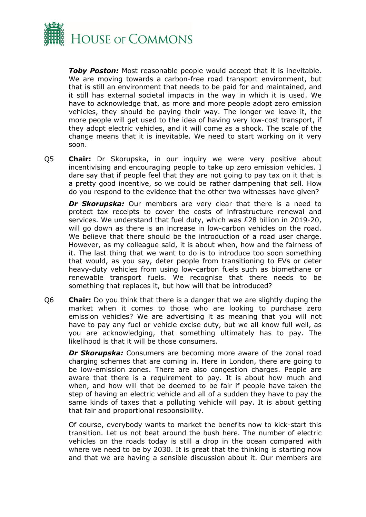

*Toby Poston:* Most reasonable people would accept that it is inevitable. We are moving towards a carbon-free road transport environment, but that is still an environment that needs to be paid for and maintained, and it still has external societal impacts in the way in which it is used. We have to acknowledge that, as more and more people adopt zero emission vehicles, they should be paying their way. The longer we leave it, the more people will get used to the idea of having very low-cost transport, if they adopt electric vehicles, and it will come as a shock. The scale of the change means that it is inevitable. We need to start working on it very soon.

Q5 **Chair:** Dr Skorupska, in our inquiry we were very positive about incentivising and encouraging people to take up zero emission vehicles. I dare say that if people feel that they are not going to pay tax on it that is a pretty good incentive, so we could be rather dampening that sell. How do you respond to the evidence that the other two witnesses have given?

**Dr Skorupska:** Our members are very clear that there is a need to protect tax receipts to cover the costs of infrastructure renewal and services. We understand that fuel duty, which was £28 billion in 2019-20, will go down as there is an increase in low-carbon vehicles on the road. We believe that there should be the introduction of a road user charge. However, as my colleague said, it is about when, how and the fairness of it. The last thing that we want to do is to introduce too soon something that would, as you say, deter people from transitioning to EVs or deter heavy-duty vehicles from using low-carbon fuels such as biomethane or renewable transport fuels. We recognise that there needs to be something that replaces it, but how will that be introduced?

Q6 **Chair:** Do you think that there is a danger that we are slightly duping the market when it comes to those who are looking to purchase zero emission vehicles? We are advertising it as meaning that you will not have to pay any fuel or vehicle excise duty, but we all know full well, as you are acknowledging, that something ultimately has to pay. The likelihood is that it will be those consumers.

*Dr Skorupska:* Consumers are becoming more aware of the zonal road charging schemes that are coming in. Here in London, there are going to be low-emission zones. There are also congestion charges. People are aware that there is a requirement to pay. It is about how much and when, and how will that be deemed to be fair if people have taken the step of having an electric vehicle and all of a sudden they have to pay the same kinds of taxes that a polluting vehicle will pay. It is about getting that fair and proportional responsibility.

Of course, everybody wants to market the benefits now to kick-start this transition. Let us not beat around the bush here. The number of electric vehicles on the roads today is still a drop in the ocean compared with where we need to be by 2030. It is great that the thinking is starting now and that we are having a sensible discussion about it. Our members are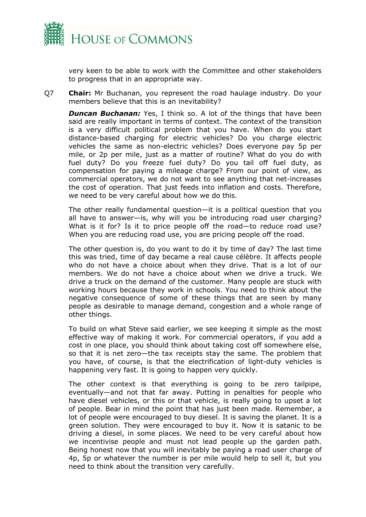

very keen to be able to work with the Committee and other stakeholders to progress that in an appropriate way.

Q7 **Chair:** Mr Buchanan, you represent the road haulage industry. Do your members believe that this is an inevitability?

**Duncan Buchanan:** Yes, I think so. A lot of the things that have been said are really important in terms of context. The context of the transition is a very difficult political problem that you have. When do you start distance-based charging for electric vehicles? Do you charge electric vehicles the same as non-electric vehicles? Does everyone pay 5p per mile, or 2p per mile, just as a matter of routine? What do you do with fuel duty? Do you freeze fuel duty? Do you tail off fuel duty, as compensation for paying a mileage charge? From our point of view, as commercial operators, we do not want to see anything that net-increases the cost of operation. That just feeds into inflation and costs. Therefore, we need to be very careful about how we do this.

The other really fundamental question—it is a political question that you all have to answer—is, why will you be introducing road user charging? What is it for? Is it to price people off the road—to reduce road use? When you are reducing road use, you are pricing people off the road.

The other question is, do you want to do it by time of day? The last time this was tried, time of day became a real cause célèbre. It affects people who do not have a choice about when they drive. That is a lot of our members. We do not have a choice about when we drive a truck. We drive a truck on the demand of the customer. Many people are stuck with working hours because they work in schools. You need to think about the negative consequence of some of these things that are seen by many people as desirable to manage demand, congestion and a whole range of other things.

To build on what Steve said earlier, we see keeping it simple as the most effective way of making it work. For commercial operators, if you add a cost in one place, you should think about taking cost off somewhere else, so that it is net zero—the tax receipts stay the same. The problem that you have, of course, is that the electrification of light-duty vehicles is happening very fast. It is going to happen very quickly.

The other context is that everything is going to be zero tailpipe, eventually—and not that far away. Putting in penalties for people who have diesel vehicles, or this or that vehicle, is really going to upset a lot of people. Bear in mind the point that has just been made. Remember, a lot of people were encouraged to buy diesel. It is saving the planet. It is a green solution. They were encouraged to buy it. Now it is satanic to be driving a diesel, in some places. We need to be very careful about how we incentivise people and must not lead people up the garden path. Being honest now that you will inevitably be paying a road user charge of 4p, 5p or whatever the number is per mile would help to sell it, but you need to think about the transition very carefully.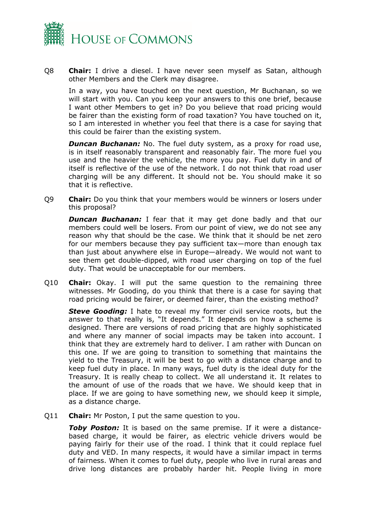

Q8 **Chair:** I drive a diesel. I have never seen myself as Satan, although other Members and the Clerk may disagree.

In a way, you have touched on the next question, Mr Buchanan, so we will start with you. Can you keep your answers to this one brief, because I want other Members to get in? Do you believe that road pricing would be fairer than the existing form of road taxation? You have touched on it, so I am interested in whether you feel that there is a case for saying that this could be fairer than the existing system.

*Duncan Buchanan:* No. The fuel duty system, as a proxy for road use, is in itself reasonably transparent and reasonably fair. The more fuel you use and the heavier the vehicle, the more you pay. Fuel duty in and of itself is reflective of the use of the network. I do not think that road user charging will be any different. It should not be. You should make it so that it is reflective.

Q9 **Chair:** Do you think that your members would be winners or losers under this proposal?

**Duncan Buchanan:** I fear that it may get done badly and that our members could well be losers. From our point of view, we do not see any reason why that should be the case. We think that it should be net zero for our members because they pay sufficient tax—more than enough tax than just about anywhere else in Europe—already. We would not want to see them get double-dipped, with road user charging on top of the fuel duty. That would be unacceptable for our members.

Q10 **Chair:** Okay. I will put the same question to the remaining three witnesses. Mr Gooding, do you think that there is a case for saying that road pricing would be fairer, or deemed fairer, than the existing method?

**Steve Gooding:** I hate to reveal my former civil service roots, but the answer to that really is, "It depends." It depends on how a scheme is designed. There are versions of road pricing that are highly sophisticated and where any manner of social impacts may be taken into account. I think that they are extremely hard to deliver. I am rather with Duncan on this one. If we are going to transition to something that maintains the yield to the Treasury, it will be best to go with a distance charge and to keep fuel duty in place. In many ways, fuel duty is the ideal duty for the Treasury. It is really cheap to collect. We all understand it. It relates to the amount of use of the roads that we have. We should keep that in place. If we are going to have something new, we should keep it simple, as a distance charge.

Q11 **Chair:** Mr Poston, I put the same question to you.

*Toby Poston:* It is based on the same premise. If it were a distancebased charge, it would be fairer, as electric vehicle drivers would be paying fairly for their use of the road. I think that it could replace fuel duty and VED. In many respects, it would have a similar impact in terms of fairness. When it comes to fuel duty, people who live in rural areas and drive long distances are probably harder hit. People living in more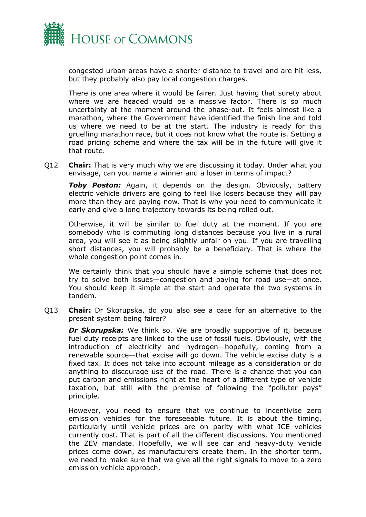

congested urban areas have a shorter distance to travel and are hit less, but they probably also pay local congestion charges.

There is one area where it would be fairer. Just having that surety about where we are headed would be a massive factor. There is so much uncertainty at the moment around the phase-out. It feels almost like a marathon, where the Government have identified the finish line and told us where we need to be at the start. The industry is ready for this gruelling marathon race, but it does not know what the route is. Setting a road pricing scheme and where the tax will be in the future will give it that route.

Q12 **Chair:** That is very much why we are discussing it today. Under what you envisage, can you name a winner and a loser in terms of impact?

*Toby Poston:* Again, it depends on the design. Obviously, battery electric vehicle drivers are going to feel like losers because they will pay more than they are paying now. That is why you need to communicate it early and give a long trajectory towards its being rolled out.

Otherwise, it will be similar to fuel duty at the moment. If you are somebody who is commuting long distances because you live in a rural area, you will see it as being slightly unfair on you. If you are travelling short distances, you will probably be a beneficiary. That is where the whole congestion point comes in.

We certainly think that you should have a simple scheme that does not try to solve both issues—congestion and paying for road use—at once. You should keep it simple at the start and operate the two systems in tandem.

Q13 **Chair:** Dr Skorupska, do you also see a case for an alternative to the present system being fairer?

**Dr Skorupska:** We think so. We are broadly supportive of it, because fuel duty receipts are linked to the use of fossil fuels. Obviously, with the introduction of electricity and hydrogen—hopefully, coming from a renewable source—that excise will go down. The vehicle excise duty is a fixed tax. It does not take into account mileage as a consideration or do anything to discourage use of the road. There is a chance that you can put carbon and emissions right at the heart of a different type of vehicle taxation, but still with the premise of following the "polluter pays" principle.

However, you need to ensure that we continue to incentivise zero emission vehicles for the foreseeable future. It is about the timing, particularly until vehicle prices are on parity with what ICE vehicles currently cost. That is part of all the different discussions. You mentioned the ZEV mandate. Hopefully, we will see car and heavy-duty vehicle prices come down, as manufacturers create them. In the shorter term, we need to make sure that we give all the right signals to move to a zero emission vehicle approach.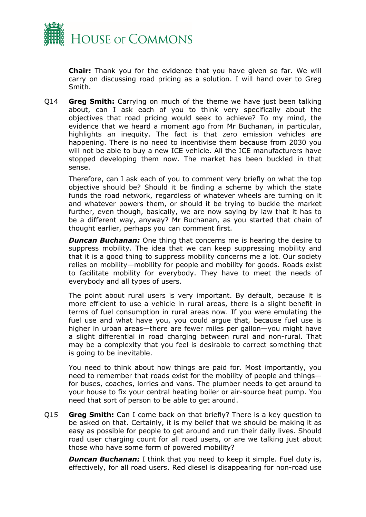

**Chair:** Thank you for the evidence that you have given so far. We will carry on discussing road pricing as a solution. I will hand over to Greg Smith.

Q14 **Greg Smith:** Carrying on much of the theme we have just been talking about, can I ask each of you to think very specifically about the objectives that road pricing would seek to achieve? To my mind, the evidence that we heard a moment ago from Mr Buchanan, in particular, highlights an inequity. The fact is that zero emission vehicles are happening. There is no need to incentivise them because from 2030 you will not be able to buy a new ICE vehicle. All the ICE manufacturers have stopped developing them now. The market has been buckled in that sense.

Therefore, can I ask each of you to comment very briefly on what the top objective should be? Should it be finding a scheme by which the state funds the road network, regardless of whatever wheels are turning on it and whatever powers them, or should it be trying to buckle the market further, even though, basically, we are now saying by law that it has to be a different way, anyway? Mr Buchanan, as you started that chain of thought earlier, perhaps you can comment first.

*Duncan Buchanan:* One thing that concerns me is hearing the desire to suppress mobility. The idea that we can keep suppressing mobility and that it is a good thing to suppress mobility concerns me a lot. Our society relies on mobility—mobility for people and mobility for goods. Roads exist to facilitate mobility for everybody. They have to meet the needs of everybody and all types of users.

The point about rural users is very important. By default, because it is more efficient to use a vehicle in rural areas, there is a slight benefit in terms of fuel consumption in rural areas now. If you were emulating the fuel use and what have you, you could argue that, because fuel use is higher in urban areas—there are fewer miles per gallon—you might have a slight differential in road charging between rural and non-rural. That may be a complexity that you feel is desirable to correct something that is going to be inevitable.

You need to think about how things are paid for. Most importantly, you need to remember that roads exist for the mobility of people and things for buses, coaches, lorries and vans. The plumber needs to get around to your house to fix your central heating boiler or air-source heat pump. You need that sort of person to be able to get around.

Q15 **Greg Smith:** Can I come back on that briefly? There is a key question to be asked on that. Certainly, it is my belief that we should be making it as easy as possible for people to get around and run their daily lives. Should road user charging count for all road users, or are we talking just about those who have some form of powered mobility?

*Duncan Buchanan:* I think that you need to keep it simple. Fuel duty is, effectively, for all road users. Red diesel is disappearing for non-road use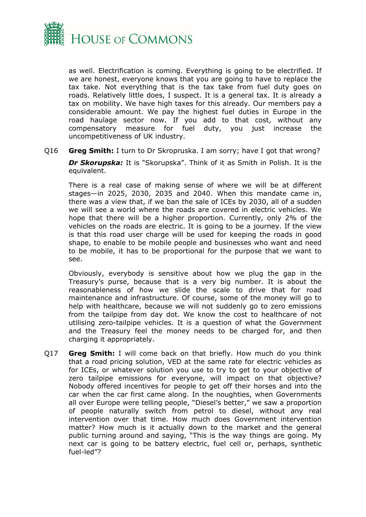

as well. Electrification is coming. Everything is going to be electrified. If we are honest, everyone knows that you are going to have to replace the tax take. Not everything that is the tax take from fuel duty goes on roads. Relatively little does, I suspect. It is a general tax. It is already a tax on mobility. We have high taxes for this already. Our members pay a considerable amount. We pay the highest fuel duties in Europe in the road haulage sector now. If you add to that cost, without any compensatory measure for fuel duty, you just increase the uncompetitiveness of UK industry.

Q16 **Greg Smith:** I turn to Dr Skropruska. I am sorry; have I got that wrong?

*Dr Skorupska:* It is "Skorupska". Think of it as Smith in Polish. It is the equivalent.

There is a real case of making sense of where we will be at different stages—in 2025, 2030, 2035 and 2040. When this mandate came in, there was a view that, if we ban the sale of ICEs by 2030, all of a sudden we will see a world where the roads are covered in electric vehicles. We hope that there will be a higher proportion. Currently, only 2% of the vehicles on the roads are electric. It is going to be a journey. If the view is that this road user charge will be used for keeping the roads in good shape, to enable to be mobile people and businesses who want and need to be mobile, it has to be proportional for the purpose that we want to see.

Obviously, everybody is sensitive about how we plug the gap in the Treasury's purse, because that is a very big number. It is about the reasonableness of how we slide the scale to drive that for road maintenance and infrastructure. Of course, some of the money will go to help with healthcare, because we will not suddenly go to zero emissions from the tailpipe from day dot. We know the cost to healthcare of not utilising zero-tailpipe vehicles. It is a question of what the Government and the Treasury feel the money needs to be charged for, and then charging it appropriately.

Q17 **Greg Smith:** I will come back on that briefly. How much do you think that a road pricing solution, VED at the same rate for electric vehicles as for ICEs, or whatever solution you use to try to get to your objective of zero tailpipe emissions for everyone, will impact on that objective? Nobody offered incentives for people to get off their horses and into the car when the car first came along. In the noughties, when Governments all over Europe were telling people, "Diesel's better," we saw a proportion of people naturally switch from petrol to diesel, without any real intervention over that time. How much does Government intervention matter? How much is it actually down to the market and the general public turning around and saying, "This is the way things are going. My next car is going to be battery electric, fuel cell or, perhaps, synthetic fuel-led"?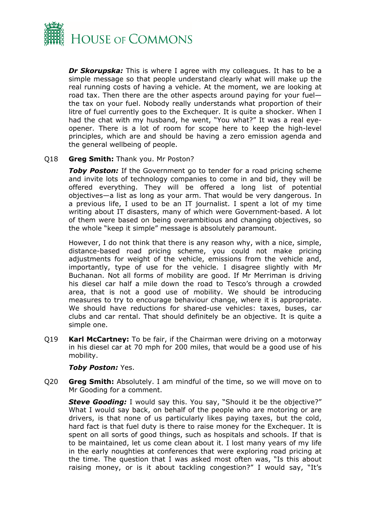

*Dr Skorupska:* This is where I agree with my colleagues. It has to be a simple message so that people understand clearly what will make up the real running costs of having a vehicle. At the moment, we are looking at road tax. Then there are the other aspects around paying for your fuel the tax on your fuel. Nobody really understands what proportion of their litre of fuel currently goes to the Exchequer. It is quite a shocker. When I had the chat with my husband, he went, "You what?" It was a real eyeopener. There is a lot of room for scope here to keep the high-level principles, which are and should be having a zero emission agenda and the general wellbeing of people.

## Q18 **Greg Smith:** Thank you. Mr Poston?

**Toby Poston:** If the Government go to tender for a road pricing scheme and invite lots of technology companies to come in and bid, they will be offered everything. They will be offered a long list of potential objectives—a list as long as your arm. That would be very dangerous. In a previous life, I used to be an IT journalist. I spent a lot of my time writing about IT disasters, many of which were Government-based. A lot of them were based on being overambitious and changing objectives, so the whole "keep it simple" message is absolutely paramount.

However, I do not think that there is any reason why, with a nice, simple, distance-based road pricing scheme, you could not make pricing adjustments for weight of the vehicle, emissions from the vehicle and, importantly, type of use for the vehicle. I disagree slightly with Mr Buchanan. Not all forms of mobility are good. If Mr Merriman is driving his diesel car half a mile down the road to Tesco's through a crowded area, that is not a good use of mobility. We should be introducing measures to try to encourage behaviour change, where it is appropriate. We should have reductions for shared-use vehicles: taxes, buses, car clubs and car rental. That should definitely be an objective. It is quite a simple one.

Q19 **Karl McCartney:** To be fair, if the Chairman were driving on a motorway in his diesel car at 70 mph for 200 miles, that would be a good use of his mobility.

## *Toby Poston:* Yes.

Q20 **Greg Smith:** Absolutely. I am mindful of the time, so we will move on to Mr Gooding for a comment.

**Steve Gooding:** I would say this. You say, "Should it be the objective?" What I would say back, on behalf of the people who are motoring or are drivers, is that none of us particularly likes paying taxes, but the cold, hard fact is that fuel duty is there to raise money for the Exchequer. It is spent on all sorts of good things, such as hospitals and schools. If that is to be maintained, let us come clean about it. I lost many years of my life in the early noughties at conferences that were exploring road pricing at the time. The question that I was asked most often was, "Is this about raising money, or is it about tackling congestion?" I would say, "It's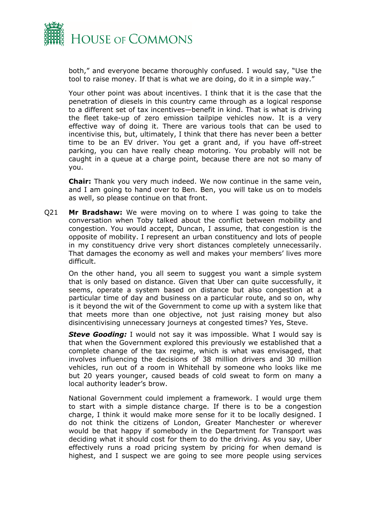

both," and everyone became thoroughly confused. I would say, "Use the tool to raise money. If that is what we are doing, do it in a simple way."

Your other point was about incentives. I think that it is the case that the penetration of diesels in this country came through as a logical response to a different set of tax incentives—benefit in kind. That is what is driving the fleet take-up of zero emission tailpipe vehicles now. It is a very effective way of doing it. There are various tools that can be used to incentivise this, but, ultimately, I think that there has never been a better time to be an EV driver. You get a grant and, if you have off-street parking, you can have really cheap motoring. You probably will not be caught in a queue at a charge point, because there are not so many of you.

**Chair:** Thank you very much indeed. We now continue in the same vein, and I am going to hand over to Ben. Ben, you will take us on to models as well, so please continue on that front.

Q21 **Mr Bradshaw:** We were moving on to where I was going to take the conversation when Toby talked about the conflict between mobility and congestion. You would accept, Duncan, I assume, that congestion is the opposite of mobility. I represent an urban constituency and lots of people in my constituency drive very short distances completely unnecessarily. That damages the economy as well and makes your members' lives more difficult.

On the other hand, you all seem to suggest you want a simple system that is only based on distance. Given that Uber can quite successfully, it seems, operate a system based on distance but also congestion at a particular time of day and business on a particular route, and so on, why is it beyond the wit of the Government to come up with a system like that that meets more than one objective, not just raising money but also disincentivising unnecessary journeys at congested times? Yes, Steve.

**Steve Gooding:** I would not say it was impossible. What I would say is that when the Government explored this previously we established that a complete change of the tax regime, which is what was envisaged, that involves influencing the decisions of 38 million drivers and 30 million vehicles, run out of a room in Whitehall by someone who looks like me but 20 years younger, caused beads of cold sweat to form on many a local authority leader's brow.

National Government could implement a framework. I would urge them to start with a simple distance charge. If there is to be a congestion charge, I think it would make more sense for it to be locally designed. I do not think the citizens of London, Greater Manchester or wherever would be that happy if somebody in the Department for Transport was deciding what it should cost for them to do the driving. As you say, Uber effectively runs a road pricing system by pricing for when demand is highest, and I suspect we are going to see more people using services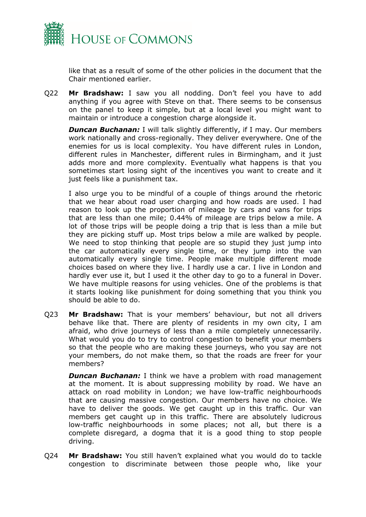

like that as a result of some of the other policies in the document that the Chair mentioned earlier.

Q22 **Mr Bradshaw:** I saw you all nodding. Don't feel you have to add anything if you agree with Steve on that. There seems to be consensus on the panel to keep it simple, but at a local level you might want to maintain or introduce a congestion charge alongside it.

**Duncan Buchanan:** I will talk slightly differently, if I may. Our members work nationally and cross-regionally. They deliver everywhere. One of the enemies for us is local complexity. You have different rules in London, different rules in Manchester, different rules in Birmingham, and it just adds more and more complexity. Eventually what happens is that you sometimes start losing sight of the incentives you want to create and it just feels like a punishment tax.

I also urge you to be mindful of a couple of things around the rhetoric that we hear about road user charging and how roads are used. I had reason to look up the proportion of mileage by cars and vans for trips that are less than one mile; 0.44% of mileage are trips below a mile. A lot of those trips will be people doing a trip that is less than a mile but they are picking stuff up. Most trips below a mile are walked by people. We need to stop thinking that people are so stupid they just jump into the car automatically every single time, or they jump into the van automatically every single time. People make multiple different mode choices based on where they live. I hardly use a car. I live in London and hardly ever use it, but I used it the other day to go to a funeral in Dover. We have multiple reasons for using vehicles. One of the problems is that it starts looking like punishment for doing something that you think you should be able to do.

Q23 **Mr Bradshaw:** That is your members' behaviour, but not all drivers behave like that. There are plenty of residents in my own city, I am afraid, who drive journeys of less than a mile completely unnecessarily. What would you do to try to control congestion to benefit your members so that the people who are making these journeys, who you say are not your members, do not make them, so that the roads are freer for your members?

*Duncan Buchanan:* I think we have a problem with road management at the moment. It is about suppressing mobility by road. We have an attack on road mobility in London; we have low-traffic neighbourhoods that are causing massive congestion. Our members have no choice. We have to deliver the goods. We get caught up in this traffic. Our van members get caught up in this traffic. There are absolutely ludicrous low-traffic neighbourhoods in some places; not all, but there is a complete disregard, a dogma that it is a good thing to stop people driving.

Q24 **Mr Bradshaw:** You still haven't explained what you would do to tackle congestion to discriminate between those people who, like your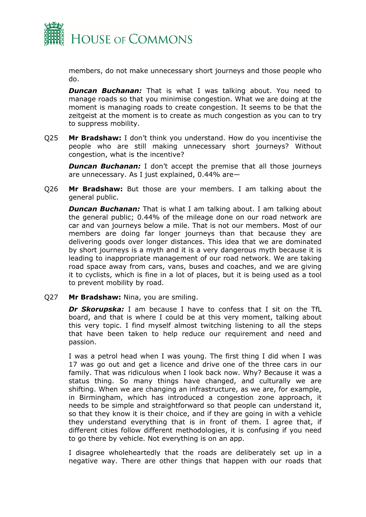

members, do not make unnecessary short journeys and those people who do.

*Duncan Buchanan:* That is what I was talking about. You need to manage roads so that you minimise congestion. What we are doing at the moment is managing roads to create congestion. It seems to be that the zeitgeist at the moment is to create as much congestion as you can to try to suppress mobility.

Q25 **Mr Bradshaw:** I don't think you understand. How do you incentivise the people who are still making unnecessary short journeys? Without congestion, what is the incentive?

**Duncan Buchanan:** I don't accept the premise that all those journeys are unnecessary. As I just explained, 0.44% are—

Q26 **Mr Bradshaw:** But those are your members. I am talking about the general public.

*Duncan Buchanan:* That is what I am talking about. I am talking about the general public; 0.44% of the mileage done on our road network are car and van journeys below a mile. That is not our members. Most of our members are doing far longer journeys than that because they are delivering goods over longer distances. This idea that we are dominated by short journeys is a myth and it is a very dangerous myth because it is leading to inappropriate management of our road network. We are taking road space away from cars, vans, buses and coaches, and we are giving it to cyclists, which is fine in a lot of places, but it is being used as a tool to prevent mobility by road.

Q27 **Mr Bradshaw:** Nina, you are smiling.

*Dr Skorupska:* I am because I have to confess that I sit on the TfL board, and that is where I could be at this very moment, talking about this very topic. I find myself almost twitching listening to all the steps that have been taken to help reduce our requirement and need and passion.

I was a petrol head when I was young. The first thing I did when I was 17 was go out and get a licence and drive one of the three cars in our family. That was ridiculous when I look back now. Why? Because it was a status thing. So many things have changed, and culturally we are shifting. When we are changing an infrastructure, as we are, for example, in Birmingham, which has introduced a congestion zone approach, it needs to be simple and straightforward so that people can understand it, so that they know it is their choice, and if they are going in with a vehicle they understand everything that is in front of them. I agree that, if different cities follow different methodologies, it is confusing if you need to go there by vehicle. Not everything is on an app.

I disagree wholeheartedly that the roads are deliberately set up in a negative way. There are other things that happen with our roads that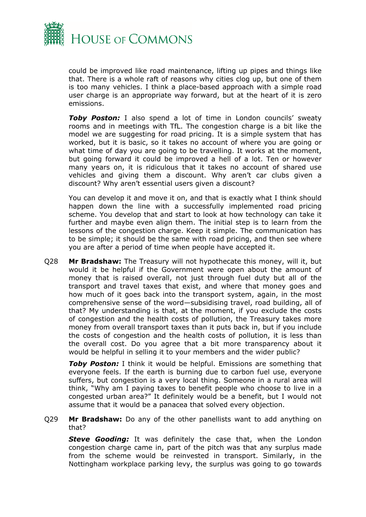

could be improved like road maintenance, lifting up pipes and things like that. There is a whole raft of reasons why cities clog up, but one of them is too many vehicles. I think a place-based approach with a simple road user charge is an appropriate way forward, but at the heart of it is zero emissions.

*Toby Poston:* I also spend a lot of time in London councils' sweaty rooms and in meetings with TfL. The congestion charge is a bit like the model we are suggesting for road pricing. It is a simple system that has worked, but it is basic, so it takes no account of where you are going or what time of day you are going to be travelling. It works at the moment, but going forward it could be improved a hell of a lot. Ten or however many years on, it is ridiculous that it takes no account of shared use vehicles and giving them a discount. Why aren't car clubs given a discount? Why aren't essential users given a discount?

You can develop it and move it on, and that is exactly what I think should happen down the line with a successfully implemented road pricing scheme. You develop that and start to look at how technology can take it further and maybe even align them. The initial step is to learn from the lessons of the congestion charge. Keep it simple. The communication has to be simple; it should be the same with road pricing, and then see where you are after a period of time when people have accepted it.

Q28 **Mr Bradshaw:** The Treasury will not hypothecate this money, will it, but would it be helpful if the Government were open about the amount of money that is raised overall, not just through fuel duty but all of the transport and travel taxes that exist, and where that money goes and how much of it goes back into the transport system, again, in the most comprehensive sense of the word—subsidising travel, road building, all of that? My understanding is that, at the moment, if you exclude the costs of congestion and the health costs of pollution, the Treasury takes more money from overall transport taxes than it puts back in, but if you include the costs of congestion and the health costs of pollution, it is less than the overall cost. Do you agree that a bit more transparency about it would be helpful in selling it to your members and the wider public?

**Toby Poston:** I think it would be helpful. Emissions are something that everyone feels. If the earth is burning due to carbon fuel use, everyone suffers, but congestion is a very local thing. Someone in a rural area will think, "Why am I paying taxes to benefit people who choose to live in a congested urban area?" It definitely would be a benefit, but I would not assume that it would be a panacea that solved every objection.

Q29 **Mr Bradshaw:** Do any of the other panellists want to add anything on that?

**Steve Gooding:** It was definitely the case that, when the London congestion charge came in, part of the pitch was that any surplus made from the scheme would be reinvested in transport. Similarly, in the Nottingham workplace parking levy, the surplus was going to go towards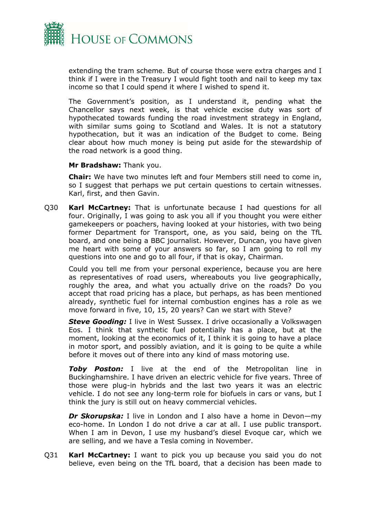

extending the tram scheme. But of course those were extra charges and I think if I were in the Treasury I would fight tooth and nail to keep my tax income so that I could spend it where I wished to spend it.

The Government's position, as I understand it, pending what the Chancellor says next week, is that vehicle excise duty was sort of hypothecated towards funding the road investment strategy in England, with similar sums going to Scotland and Wales. It is not a statutory hypothecation, but it was an indication of the Budget to come. Being clear about how much money is being put aside for the stewardship of the road network is a good thing.

#### **Mr Bradshaw:** Thank you.

**Chair:** We have two minutes left and four Members still need to come in, so I suggest that perhaps we put certain questions to certain witnesses. Karl, first, and then Gavin.

Q30 **Karl McCartney:** That is unfortunate because I had questions for all four. Originally, I was going to ask you all if you thought you were either gamekeepers or poachers, having looked at your histories, with two being former Department for Transport, one, as you said, being on the TfL board, and one being a BBC journalist. However, Duncan, you have given me heart with some of your answers so far, so I am going to roll my questions into one and go to all four, if that is okay, Chairman.

Could you tell me from your personal experience, because you are here as representatives of road users, whereabouts you live geographically, roughly the area, and what you actually drive on the roads? Do you accept that road pricing has a place, but perhaps, as has been mentioned already, synthetic fuel for internal combustion engines has a role as we move forward in five, 10, 15, 20 years? Can we start with Steve?

**Steve Gooding:** I live in West Sussex. I drive occasionally a Volkswagen Eos. I think that synthetic fuel potentially has a place, but at the moment, looking at the economics of it, I think it is going to have a place in motor sport, and possibly aviation, and it is going to be quite a while before it moves out of there into any kind of mass motoring use.

*Toby Poston:* I live at the end of the Metropolitan line in Buckinghamshire. I have driven an electric vehicle for five years. Three of those were plug-in hybrids and the last two years it was an electric vehicle. I do not see any long-term role for biofuels in cars or vans, but I think the jury is still out on heavy commercial vehicles.

*Dr Skorupska:* I live in London and I also have a home in Devon—my eco-home. In London I do not drive a car at all. I use public transport. When I am in Devon, I use my husband's diesel Evoque car, which we are selling, and we have a Tesla coming in November.

Q31 **Karl McCartney:** I want to pick you up because you said you do not believe, even being on the TfL board, that a decision has been made to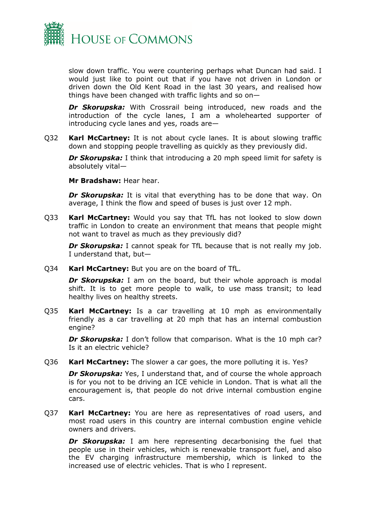

slow down traffic. You were countering perhaps what Duncan had said. I would just like to point out that if you have not driven in London or driven down the Old Kent Road in the last 30 years, and realised how things have been changed with traffic lights and so on—

**Dr Skorupska:** With Crossrail being introduced, new roads and the introduction of the cycle lanes, I am a wholehearted supporter of introducing cycle lanes and yes, roads are—

Q32 **Karl McCartney:** It is not about cycle lanes. It is about slowing traffic down and stopping people travelling as quickly as they previously did.

*Dr Skorupska:* I think that introducing a 20 mph speed limit for safety is absolutely vital—

**Mr Bradshaw:** Hear hear.

*Dr Skorupska:* It is vital that everything has to be done that way. On average, I think the flow and speed of buses is just over 12 mph.

Q33 **Karl McCartney:** Would you say that TfL has not looked to slow down traffic in London to create an environment that means that people might not want to travel as much as they previously did?

*Dr Skorupska:* I cannot speak for TfL because that is not really my job. I understand that, but—

Q34 **Karl McCartney:** But you are on the board of TfL.

*Dr Skorupska:* I am on the board, but their whole approach is modal shift. It is to get more people to walk, to use mass transit; to lead healthy lives on healthy streets.

Q35 **Karl McCartney:** Is a car travelling at 10 mph as environmentally friendly as a car travelling at 20 mph that has an internal combustion engine?

*Dr Skorupska:* I don't follow that comparison. What is the 10 mph car? Is it an electric vehicle?

Q36 **Karl McCartney:** The slower a car goes, the more polluting it is. Yes?

*Dr Skorupska:* Yes, I understand that, and of course the whole approach is for you not to be driving an ICE vehicle in London. That is what all the encouragement is, that people do not drive internal combustion engine cars.

Q37 **Karl McCartney:** You are here as representatives of road users, and most road users in this country are internal combustion engine vehicle owners and drivers.

*Dr Skorupska:* I am here representing decarbonising the fuel that people use in their vehicles, which is renewable transport fuel, and also the EV charging infrastructure membership, which is linked to the increased use of electric vehicles. That is who I represent.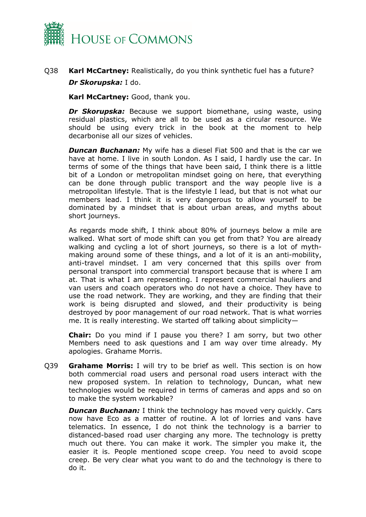

## Q38 **Karl McCartney:** Realistically, do you think synthetic fuel has a future? *Dr Skorupska:* I do.

**Karl McCartney:** Good, thank you.

*Dr Skorupska:* Because we support biomethane, using waste, using residual plastics, which are all to be used as a circular resource. We should be using every trick in the book at the moment to help decarbonise all our sizes of vehicles.

*Duncan Buchanan:* My wife has a diesel Fiat 500 and that is the car we have at home. I live in south London. As I said, I hardly use the car. In terms of some of the things that have been said, I think there is a little bit of a London or metropolitan mindset going on here, that everything can be done through public transport and the way people live is a metropolitan lifestyle. That is the lifestyle I lead, but that is not what our members lead. I think it is very dangerous to allow yourself to be dominated by a mindset that is about urban areas, and myths about short journeys.

As regards mode shift, I think about 80% of journeys below a mile are walked. What sort of mode shift can you get from that? You are already walking and cycling a lot of short journeys, so there is a lot of mythmaking around some of these things, and a lot of it is an anti-mobility, anti-travel mindset. I am very concerned that this spills over from personal transport into commercial transport because that is where I am at. That is what I am representing. I represent commercial hauliers and van users and coach operators who do not have a choice. They have to use the road network. They are working, and they are finding that their work is being disrupted and slowed, and their productivity is being destroyed by poor management of our road network. That is what worries me. It is really interesting. We started off talking about simplicity—

**Chair:** Do you mind if I pause you there? I am sorry, but two other Members need to ask questions and I am way over time already. My apologies. Grahame Morris.

Q39 **Grahame Morris:** I will try to be brief as well. This section is on how both commercial road users and personal road users interact with the new proposed system. In relation to technology, Duncan, what new technologies would be required in terms of cameras and apps and so on to make the system workable?

*Duncan Buchanan:* I think the technology has moved very quickly. Cars now have Eco as a matter of routine. A lot of lorries and vans have telematics. In essence, I do not think the technology is a barrier to distanced-based road user charging any more. The technology is pretty much out there. You can make it work. The simpler you make it, the easier it is. People mentioned scope creep. You need to avoid scope creep. Be very clear what you want to do and the technology is there to do it.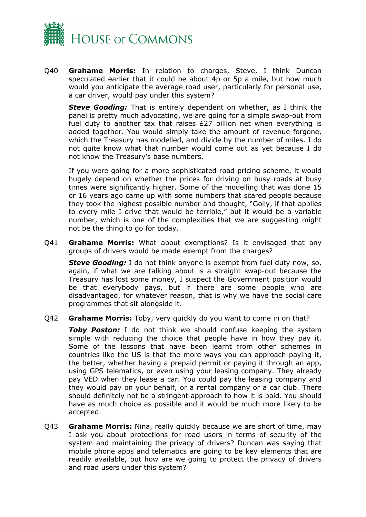

Q40 **Grahame Morris:** In relation to charges, Steve, I think Duncan speculated earlier that it could be about 4p or 5p a mile, but how much would you anticipate the average road user, particularly for personal use, a car driver, would pay under this system?

*Steve Gooding:* That is entirely dependent on whether, as I think the panel is pretty much advocating, we are going for a simple swap-out from fuel duty to another tax that raises £27 billion net when everything is added together. You would simply take the amount of revenue forgone, which the Treasury has modelled, and divide by the number of miles. I do not quite know what that number would come out as yet because I do not know the Treasury's base numbers.

If you were going for a more sophisticated road pricing scheme, it would hugely depend on whether the prices for driving on busy roads at busy times were significantly higher. Some of the modelling that was done 15 or 16 years ago came up with some numbers that scared people because they took the highest possible number and thought, "Golly, if that applies to every mile I drive that would be terrible," but it would be a variable number, which is one of the complexities that we are suggesting might not be the thing to go for today.

Q41 **Grahame Morris:** What about exemptions? Is it envisaged that any groups of drivers would be made exempt from the charges?

*Steve Gooding:* I do not think anyone is exempt from fuel duty now, so, again, if what we are talking about is a straight swap-out because the Treasury has lost some money, I suspect the Government position would be that everybody pays, but if there are some people who are disadvantaged, for whatever reason, that is why we have the social care programmes that sit alongside it.

Q42 **Grahame Morris:** Toby, very quickly do you want to come in on that?

*Toby Poston:* I do not think we should confuse keeping the system simple with reducing the choice that people have in how they pay it. Some of the lessons that have been learnt from other schemes in countries like the US is that the more ways you can approach paying it, the better, whether having a prepaid permit or paying it through an app, using GPS telematics, or even using your leasing company. They already pay VED when they lease a car. You could pay the leasing company and they would pay on your behalf, or a rental company or a car club. There should definitely not be a stringent approach to how it is paid. You should have as much choice as possible and it would be much more likely to be accepted.

Q43 **Grahame Morris:** Nina, really quickly because we are short of time, may I ask you about protections for road users in terms of security of the system and maintaining the privacy of drivers? Duncan was saying that mobile phone apps and telematics are going to be key elements that are readily available, but how are we going to protect the privacy of drivers and road users under this system?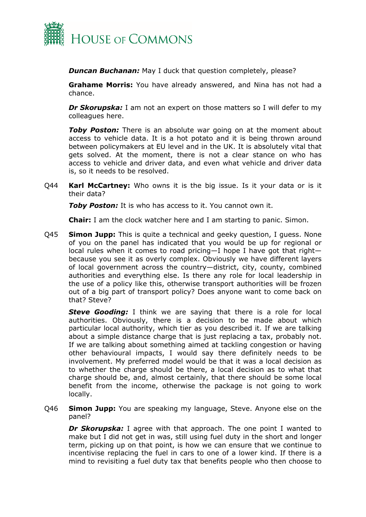

*Duncan Buchanan:* May I duck that question completely, please?

**Grahame Morris:** You have already answered, and Nina has not had a chance.

*Dr Skorupska:* I am not an expert on those matters so I will defer to my colleagues here.

**Toby Poston:** There is an absolute war going on at the moment about access to vehicle data. It is a hot potato and it is being thrown around between policymakers at EU level and in the UK. It is absolutely vital that gets solved. At the moment, there is not a clear stance on who has access to vehicle and driver data, and even what vehicle and driver data is, so it needs to be resolved.

Q44 **Karl McCartney:** Who owns it is the big issue. Is it your data or is it their data?

*Toby Poston:* It is who has access to it. You cannot own it.

**Chair:** I am the clock watcher here and I am starting to panic. Simon.

Q45 **Simon Jupp:** This is quite a technical and geeky question, I guess. None of you on the panel has indicated that you would be up for regional or local rules when it comes to road pricing—I hope I have got that right because you see it as overly complex. Obviously we have different layers of local government across the country—district, city, county, combined authorities and everything else. Is there any role for local leadership in the use of a policy like this, otherwise transport authorities will be frozen out of a big part of transport policy? Does anyone want to come back on that? Steve?

**Steve Gooding:** I think we are saying that there is a role for local authorities. Obviously, there is a decision to be made about which particular local authority, which tier as you described it. If we are talking about a simple distance charge that is just replacing a tax, probably not. If we are talking about something aimed at tackling congestion or having other behavioural impacts, I would say there definitely needs to be involvement. My preferred model would be that it was a local decision as to whether the charge should be there, a local decision as to what that charge should be, and, almost certainly, that there should be some local benefit from the income, otherwise the package is not going to work locally.

Q46 **Simon Jupp:** You are speaking my language, Steve. Anyone else on the panel?

*Dr Skorupska:* I agree with that approach. The one point I wanted to make but I did not get in was, still using fuel duty in the short and longer term, picking up on that point, is how we can ensure that we continue to incentivise replacing the fuel in cars to one of a lower kind. If there is a mind to revisiting a fuel duty tax that benefits people who then choose to